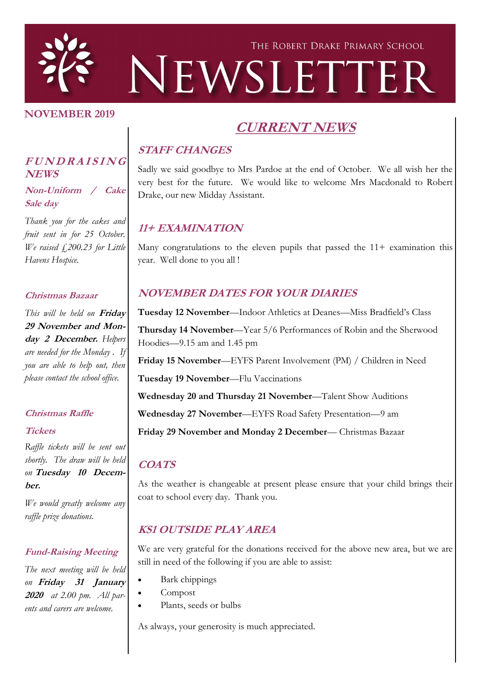

#### **NOVEMBER 2019**

# **CURRENT NEWS**

# **STAFF CHANGES**

Sadly we said goodbye to Mrs Pardoe at the end of October. We all wish her the very best for the future. We would like to welcome Mrs Macdonald to Robert Drake, our new Midday Assistant.

# **11+ EXAMINATION**

Many congratulations to the eleven pupils that passed the  $11+$  examination this year. Well done to you all !

## **NOVEMBER DATES FOR YOUR DIARIES**

**Tuesday 12 November**—Indoor Athletics at Deanes—Miss Bradfield's Class **Thursday 14 November**—Year 5/6 Performances of Robin and the Sherwood Hoodies—9.15 am and 1.45 pm

**Friday 15 November**—EYFS Parent Involvement (PM) / Children in Need

**Tuesday 19 November**—Flu Vaccinations

**Wednesday 20 and Thursday 21 November**—Talent Show Auditions

**Wednesday 27 November**—EYFS Road Safety Presentation—9 am

**Friday 29 November and Monday 2 December**— Christmas Bazaar

#### **COATS**

As the weather is changeable at present please ensure that your child brings their coat to school every day. Thank you.

## **KS1 OUTSIDE PLAY AREA**

We are very grateful for the donations received for the above new area, but we are still in need of the following if you are able to assist:

- Bark chippings
- Compost
- Plants, seeds or bulbs

As always, your generosity is much appreciated.

#### **<sup>F</sup> <sup>U</sup> <sup>N</sup> <sup>D</sup> <sup>R</sup> <sup>A</sup> <sup>I</sup> <sup>S</sup> <sup>I</sup> <sup>N</sup> <sup>G</sup> NEWS**

**Non-Uniform / Cake Sale day**

*Thank you for the cakes and fruit sent in for 25 October. We raised £200.23 for Little Havens Hospice.* 

#### **Christmas Bazaar**

*This will be held on* **Friday 29 November and Monday 2 December.** *Helpers are needed for the Monday . If you are able to help out, then please contact the school office.*

#### **Christmas Raffle**

#### **Tickets**

*Raffle tickets will be sent out shortly. The draw will be held on* **Tuesday 10 December.**

*We would greatly welcome any raffle prize donations.*

#### **Fund-Raising Meeting**

*The next meeting will be held on* **Friday 31 January 2020** *at 2.00 pm. All parents and carers are welcome.*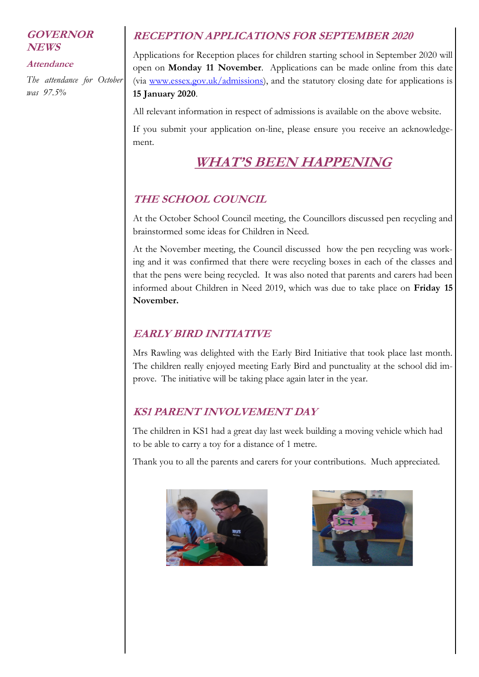#### **GOVERNOR NEWS**

#### **Attendance**

*The attendance for October was 97.5%*

## **RECEPTION APPLICATIONS FOR SEPTEMBER 2020**

Applications for Reception places for children starting school in September 2020 will open on **Monday 11 November**. Applications can be made online from this date (via [www.essex.gov.uk/admissions\),](http://www.essex.gov.uk/admissions) and the statutory closing date for applications is **15 January 2020**.

All relevant information in respect of admissions is available on the above website.

If you submit your application on-line, please ensure you receive an acknowledgement.

# **WHAT'S BEEN HAPPENING**

## **THE SCHOOL COUNCIL**

At the October School Council meeting, the Councillors discussed pen recycling and brainstormed some ideas for Children in Need.

At the November meeting, the Council discussed how the pen recycling was working and it was confirmed that there were recycling boxes in each of the classes and that the pens were being recycled. It was also noted that parents and carers had been informed about Children in Need 2019, which was due to take place on **Friday 15 November.** 

#### **EARLY BIRD INITIATIVE**

Mrs Rawling was delighted with the Early Bird Initiative that took place last month. The children really enjoyed meeting Early Bird and punctuality at the school did improve. The initiative will be taking place again later in the year.

## **KS1 PARENT INVOLVEMENT DAY**

The children in KS1 had a great day last week building a moving vehicle which had to be able to carry a toy for a distance of 1 metre.

Thank you to all the parents and carers for your contributions. Much appreciated.



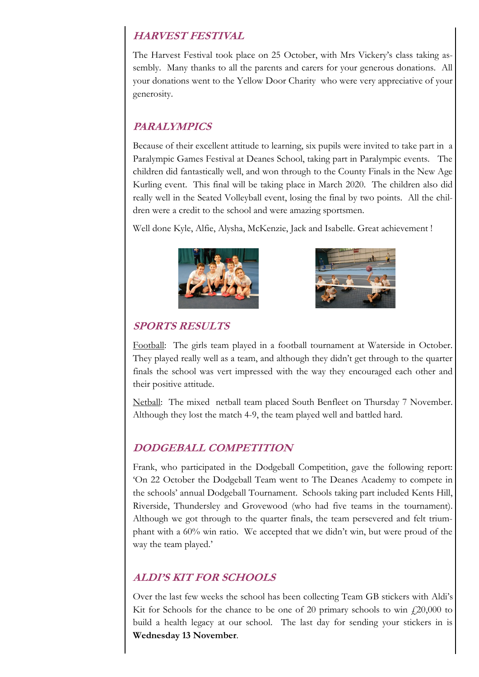## **HARVEST FESTIVAL**

The Harvest Festival took place on 25 October, with Mrs Vickery's class taking assembly. Many thanks to all the parents and carers for your generous donations. All your donations went to the Yellow Door Charity who were very appreciative of your generosity.

# **PARALYMPICS**

Because of their excellent attitude to learning, six pupils were invited to take part in a Paralympic Games Festival at Deanes School, taking part in Paralympic events. The children did fantastically well, and won through to the County Finals in the New Age Kurling event. This final will be taking place in March 2020. The children also did really well in the Seated Volleyball event, losing the final by two points. All the children were a credit to the school and were amazing sportsmen.

Well done Kyle, Alfie, Alysha, McKenzie, Jack and Isabelle. Great achievement !





#### **SPORTS RESULTS**

Football: The girls team played in a football tournament at Waterside in October. They played really well as a team, and although they didn't get through to the quarter finals the school was vert impressed with the way they encouraged each other and their positive attitude.

Netball: The mixed netball team placed South Benfleet on Thursday 7 November. Although they lost the match 4-9, the team played well and battled hard.

## **DODGEBALL COMPETITION**

Frank, who participated in the Dodgeball Competition, gave the following report: 'On 22 October the Dodgeball Team went to The Deanes Academy to compete in the schools' annual Dodgeball Tournament. Schools taking part included Kents Hill, Riverside, Thundersley and Grovewood (who had five teams in the tournament). Although we got through to the quarter finals, the team persevered and felt triumphant with a 60% win ratio. We accepted that we didn't win, but were proud of the way the team played.'

## **ALDI'S KIT FOR SCHOOLS**

Over the last few weeks the school has been collecting Team GB stickers with Aldi's Kit for Schools for the chance to be one of 20 primary schools to win  $\ddot{\text{f}}$ , 20,000 to build a health legacy at our school. The last day for sending your stickers in is **Wednesday 13 November**.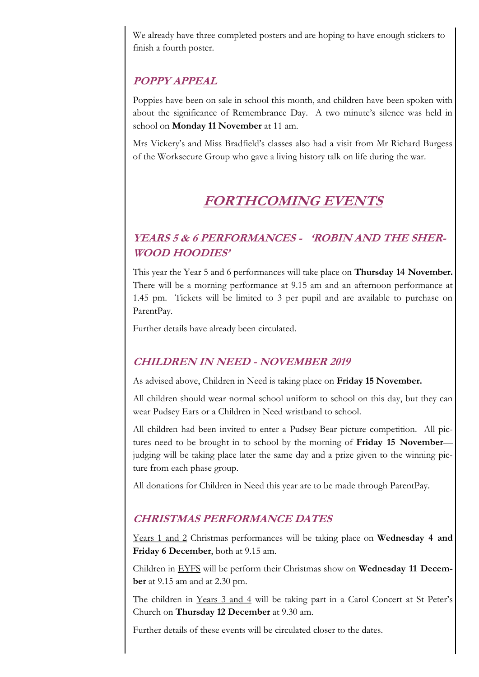We already have three completed posters and are hoping to have enough stickers to finish a fourth poster.

# **POPPY APPEAL**

Poppies have been on sale in school this month, and children have been spoken with about the significance of Remembrance Day. A two minute's silence was held in school on **Monday 11 November** at 11 am.

Mrs Vickery's and Miss Bradfield's classes also had a visit from Mr Richard Burgess of the Worksecure Group who gave a living history talk on life during the war.

# **FORTHCOMING EVENTS**

# **YEARS 5 & 6 PERFORMANCES - 'ROBIN AND THE SHER-WOOD HOODIES'**

This year the Year 5 and 6 performances will take place on **Thursday 14 November.**  There will be a morning performance at 9.15 am and an afternoon performance at 1.45 pm. Tickets will be limited to 3 per pupil and are available to purchase on ParentPay.

Further details have already been circulated.

## **CHILDREN IN NEED - NOVEMBER 2019**

As advised above, Children in Need is taking place on **Friday 15 November.** 

All children should wear normal school uniform to school on this day, but they can wear Pudsey Ears or a Children in Need wristband to school.

All children had been invited to enter a Pudsey Bear picture competition. All pictures need to be brought in to school by the morning of **Friday 15 November** judging will be taking place later the same day and a prize given to the winning picture from each phase group.

All donations for Children in Need this year are to be made through ParentPay.

## **CHRISTMAS PERFORMANCE DATES**

Years 1 and 2 Christmas performances will be taking place on **Wednesday 4 and Friday 6 December**, both at 9.15 am.

Children in EYFS will be perform their Christmas show on **Wednesday 11 December** at 9.15 am and at 2.30 pm.

The children in Years 3 and 4 will be taking part in a Carol Concert at St Peter's Church on **Thursday 12 December** at 9.30 am.

Further details of these events will be circulated closer to the dates.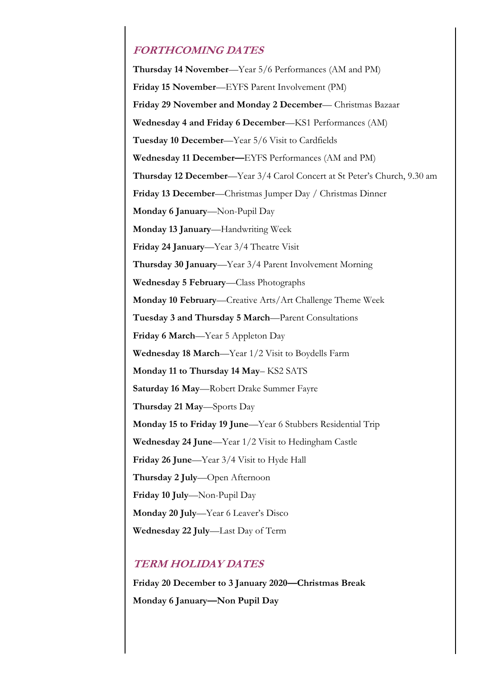#### **FORTHCOMING DATES**

**Thursday 14 November**—Year 5/6 Performances (AM and PM) **Friday 15 November**—EYFS Parent Involvement (PM) **Friday 29 November and Monday 2 December**— Christmas Bazaar **Wednesday 4 and Friday 6 December**—KS1 Performances (AM) **Tuesday 10 December**—Year 5/6 Visit to Cardfields **Wednesday 11 December—**EYFS Performances (AM and PM) **Thursday 12 December**—Year 3/4 Carol Concert at St Peter's Church, 9.30 am **Friday 13 December**—Christmas Jumper Day / Christmas Dinner **Monday 6 January**—Non-Pupil Day **Monday 13 January**—Handwriting Week **Friday 24 January**—Year 3/4 Theatre Visit **Thursday 30 January**—Year 3/4 Parent Involvement Morning **Wednesday 5 February**—Class Photographs **Monday 10 February**—Creative Arts/Art Challenge Theme Week **Tuesday 3 and Thursday 5 March**—Parent Consultations **Friday 6 March**—Year 5 Appleton Day **Wednesday 18 March**—Year 1/2 Visit to Boydells Farm **Monday 11 to Thursday 14 May**– KS2 SATS **Saturday 16 May**—Robert Drake Summer Fayre **Thursday 21 May**—Sports Day **Monday 15 to Friday 19 June**—Year 6 Stubbers Residential Trip **Wednesday 24 June**—Year 1/2 Visit to Hedingham Castle **Friday 26 June**—Year 3/4 Visit to Hyde Hall **Thursday 2 July**—Open Afternoon **Friday 10 July**—Non-Pupil Day **Monday 20 July**—Year 6 Leaver's Disco **Wednesday 22 July**—Last Day of Term

#### **TERM HOLIDAY DATES**

**Friday 20 December to 3 January 2020—Christmas Break Monday 6 January—Non Pupil Day**